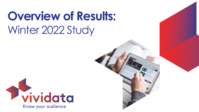# **Overview of Results:** Winter 2022 Study

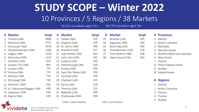# **STUDY SCOPE – Winter 2022** 10 Provinces / 5 Regions / 38 Markets

• 40,161 Canadians aged 14+ • 38,570 Canadians aged 18+

|    | # Market                      | <b>Smpl</b> | #  | <b>Market</b>            | <b>Smpl</b> | #  | <b>Market</b>      | <b>Smpl</b> | # Provinces                 |
|----|-------------------------------|-------------|----|--------------------------|-------------|----|--------------------|-------------|-----------------------------|
|    | 1 Toronto CMA                 | 4889        | 17 | Halifax CMA              | 520         | 33 | Brandon (LM)       | 295         | 1 Alberta                   |
|    | 2 Montreal CMA                | 3752        |    | 18 Kingston (LM)         | 429         | 34 | Saguenay CMA       | 283         | 2 British Columbia          |
| 3. | Vancouver CMA                 | 2329        | 19 | St. John's CMA           | 396         | 35 | North Bay (LM)     | 280         | 3 Manitoba                  |
|    | 4 Ottawa/Gatineau CMA         | 1384        |    | 20 Brantford (LM)        | 377         | 36 | Charlottetown (LM) | 278         | 4 New Brunswick             |
|    | 5 Calgary CMA                 | 1258        |    | 21 Cape Breton (LM)      | 363         | 37 | Trois-Rivières CMA | 268         | 5 Newfoundland and Labrador |
| 6  | Edmonton CMA                  | 1147        |    | 22 Saint John (LM)       | 362         | 38 | Owen Sound (LM)    | 256         | 6 Nova Scotia               |
|    | Hamilton CMA                  | 979         |    | 23 Sudbury (LM)          | 340         |    |                    |             | 7 Ontario                   |
| 8  | Quebec City CMA               | 909         |    | 24 Peterborough (LM)     | 339         |    |                    |             | 8 Prince Edward Island      |
| 9  | London CMA                    | 775         |    | 25 Granby (LM)           | 330         |    |                    |             | 9 Quebec                    |
|    | 10 Victoria CMA               | 773         |    | 26 Sault Ste. Marie (LM) | 330         |    |                    |             | 10 Saskatchewan             |
|    | 11 Windsor CMA                | 734         |    | 27 Cornwall (LM)         | 328         |    |                    |             |                             |
|    | 12 Winnipeg CMA               | 728         |    | 28 Chatham (LM)          | 325         |    |                    |             | # Regions                   |
|    | 13 Kitchener CMA              | 706         |    | 29 Sarnia (LM)           | 318         |    |                    |             | 1 Atlantic                  |
|    | 14 St. Catharines/Niagara CMA | 599         |    | 30 Timmins (LM)          | 313         |    |                    |             | 2 British Columbia          |
|    | 15 Saskatoon CMA              | 594         |    | 31 Belleville (LM)       | 309         |    |                    |             | 3 Ontario                   |
|    | 16 Regina CMA                 | 528         |    | 32 Sherbrooke CMA        | 298         |    |                    |             | 4 Prairies                  |

| # Provinces                 |
|-----------------------------|
|                             |
| 1 Alberta                   |
| 2 British Columbia          |
| 3 Manitoba                  |
| 4 New Brunswick             |
| 5 Newfoundland and Labrador |
| 6 Nova Scotia               |
| 7 Ontario                   |
| 8 Prince Edward Island      |
| 9 Quebec                    |
| 10 Saskatchewan             |
|                             |
| # Regions                   |
| 1 Atlantic                  |

Quebec



(CMA) = Major Markets (LM) = Local Markets

Source: Vividata Winter 2022 Study Base: Respondents aged 18+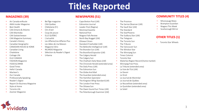## **Titles Reported**

#### **MAGAZINES (39) NEWSPAPERS (51)**

- 
- 
- 
- CAA Ontario & Atlantic Clin d'oeil Montreal Gazette The Standard
- 
- 
- CAA Magazine Summary L'actualité North Bay Nugget (LM) The Telegram
- 
- 
- CANADIAN HOUSE & HOME Magazine Véro The Belleville Intelligencer (LM) The Vancouver Sun
- 
- 
- 
- 
- 
- 
- 
- 
- 
- 
- 
- 
- 
- 
- 
- 
- Air Canada enRoute Bel Âge magazine Cape Breton Post (LM) The Province
	-
	-
	-
	-
	-
	-
- Canada's History Les Affaires/Les Affaires Plus Ottawa Citizen The Toronto Sun
- Canadian Geographic Les Idées de ma Maison Standard-Freeholder (LM) The Tribune
	-
- Canadian Living RICARDO Magazine The Brandon Sun (LM) The Windsor Star
- Chatelaine Sélection du Reader's Digest The Brantford Expositor (LM) The Winnipeg Sun
	-
- Cottage Life Urbania The Calgary Herald Times Colonist
- ELLE CANADA The Calgary Sun Toronto Star
	-
	- FOOD & DRINK The Chronicle Herald (extended area) Winnipeg Free Press
		-
- Hello! Canada The Edmonton Sun La Voix de l'Est (LM)
- Maclean's Le Devoir  **The Globe And Mail** The Globe And Mail Le Devoir
	- Our Canada The Guardian (extended area) Le Droit
	- Professionally Speaking The Hamilton Spectator Le Journal de Montréal
	- Reader's Digest The Kingston Whig-Standard (LM) Le Journal de Québec
		-
		-
	- Toronto Life The Owen Sound Sun Times (LM) Le Soleil
	- Zoomer Magazine The Peterborough Examiner (LM)
- 
- AMA Insider Magazine CAA Québec Edmonton Journal The Sarnia Observer (LM)
- Best Health Châtelaine (Fr) Leader-Post (Regina) The Sault Star (LM)
	-
- CAA Manitoba Coup de pouce National Post The StarPhoenix
	- CAA Saskatchewan ELLE QUÉBEC Niagara Falls Review The Sudbury Star (LM)
		-
		-
		-
		-
		-
		-
		-
		-
	- FASHION Magazine The Chatham Daily News (LM) Waterloo Region Record (home market)
		-
	- Good Times The Daily Press (LM) La Tribune (extended area)
		-
		-
		-
		-
		-
	- Report On Business Magazine The London Free Press Le Nouvelliste (extended area)
	- Style at Home The Ottawa Sun Le Quotidien (extended area)
		-

#### **COMMUNITY TITLES (4)**

- Mississauga News
- Brampton Guardian
- Niagara This Week
- Scarborough Mirror

#### **OTHER TITLES (1)**

• Toronto Star Wheels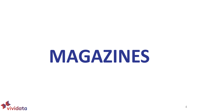# **MAGAZINES**

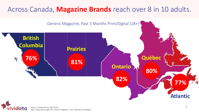#### Across Canada, **Magazine Brands** reach over 8 in 10 adults.



Source: Vividata Winter 2022 Study Base: Respondents aged 18+, Generic Magazine – Past 3 Months Print/Digital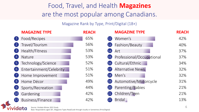### Food, Travel, and Health **Magazines**  are the most popular among Canadians.

#### Magazine Rank by Type, Print/Digital (18+)

|                    | <b>MAGAZINE TYPE</b>    | <b>REACH</b> | <b>MAGAZINE TYPE</b>                         | <b>REACH</b> |
|--------------------|-------------------------|--------------|----------------------------------------------|--------------|
| $\vert$ 1          | Food/Recipes            | 65%          | Women's<br>(12)                              | 42%          |
| $\overline{2}$     | Travel/Tourism          | 56%          | Fashion/Beauty<br>$\overline{13}$            | 40%          |
| $\overline{3}$     | Health/Fitness          | 53%          | Art<br>$\overline{14}$                       | 37%          |
| $\overline{4}$     | Nature                  | 53%          | Professional/Occupational<br>$\overline{15}$ | 37%          |
| $\boxed{5}$        | Technology/Science      | 52%          | Cultural/Ethnic<br>(16)                      | 34%          |
| 6                  | Entertainment/Celebrity | 51%          | <b>Alternative News</b><br>(17)              | 32%          |
|                    | Home Improvement        | 51%          | Men's<br>(18)                                | 32%          |
| $\left( 8 \right)$ | Home Décor              | 49%          | Automotive/Motorcycle<br>(19)                | 31%          |
| $\left( 9\right)$  | Sports/Recreation       | 44%          | Parenting/Babies<br>20                       | 21%          |
| $\left(10\right)$  | Gardening               | 42%          | Children/Teen<br>(21)                        | 21%          |
| (11)               | Business/Finance        | 42%          | <b>Bridal</b>                                | 13%          |
|                    |                         |              |                                              |              |

Source: Vividata Winter 2022 Study Base: Respondents aged 18+, Magazine Types Read/Look through Usually or Sometimes (Print/Digital)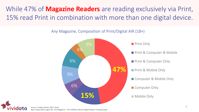### While 47% of **Magazine Readers** are reading exclusively via Print, 15% read Print in combination with more than one digital device.

#### Any Magazine, Composition of Print/Digital AIR (18+)



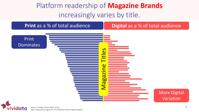## Platform readership of **Magazine Brands**  increasingly varies by title.



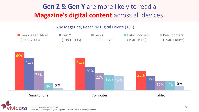### **Gen Z** & **Gen Y** are more likely to read a **Magazine's digital content** across all devices.

Any Magazine, Reach by Digital Device (18+)



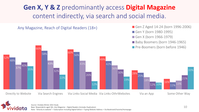#### **Gen X, Y & Z** predominantly access **Digital Magazine** content indirectly, via search and social media.

Any Magazine, Reach of Digital Readers (18+)

Gen Z Aged 14-24 (born 1996-2006)

Gen Y (born 1980-1995)

Gen X (born 1966-1979)

Baby Boomers (born 1946-1965)

**Pre-Boomers (born before 1946)** 



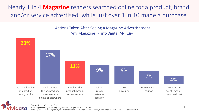Nearly 1 in 4 **Magazine** readers searched online for a product, brand, and/or service advertised, while just over 1 in 10 made a purchase.

> Actions Taken After Seeing a Magazine Advertisement Any Magazine, Print/Digital AR (18+)



Source: Vividata Winter 2022 Study Base: Respondents aged 18+, Any Magazine – Print/Digital AR; (Unduplicated) Note: "Spoke about the ad/product/brand/service online or elsewhere" = Talked about, Commented on Social Media, and Recommended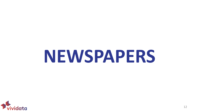# **NEWSPAPERS**

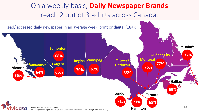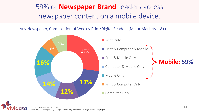## 59% of **Newspaper Brand** readers access newspaper content on a mobile device.

Any Newspaper, Composition of Weekly Print/Digital Readers (Major Markets, 18+)

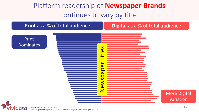### Platform readership of **Newspaper Brands**  continues to vary by title.

**Print** as a % of total audience **Digital** as a % of total audience

Print **Dominates** 



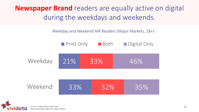**Newspaper Brand** readers are equally active on digital during the weekdays and weekends.

Weekday and Weekend AIR Readers (Major Markets, 18+)

|         | Print Only | <b>■</b> Both | Digital Only |
|---------|------------|---------------|--------------|
| Weekday | 21%        | 33%           | 46%          |
|         |            |               |              |
| Weekend | 33%        | 32%           | 35%          |



Source: Vividata Winter 2022 Study Base: Respondents aged 18+, Major Markets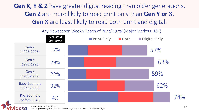**Gen X, Y & Z** have greater digital reading than older generations. **Gen Z** are more likely to read print only than **Gen Y or X**. **Gen X** are least likely to read both print and digital.



Source: Vividata Winter 2022 Study

Base: Respondents aged 18+, 21 Major Markets, Any Newspaper – Average Weekly Print/Digital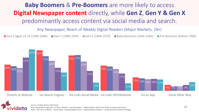#### **Baby Boomers** & **Pre-Boomers** are more likely to access **Digital Newspaper content** directly, while **Gen Z**, **Gen Y & Gen X**  predominantly access content via social media and search.

Any Newspaper, Reach of Weekly Digital Readers (Major Markets, 18+)

Gen Z Aged 14-24 (1996-2006) Gen Y (1980-1995) Gen X (1966-1979) Baby Boomers (1946-1965) Pre-Boomers (before 1946)





Base: Respondents aged 18+, 21 Major Markets - Any Newspaper – Digital Readers within Past Week (Includes duplication)

Note: "Directly to website" = Subscription Including Digital Access + Typing Website Address + Via Bookmark/Favorite/Homepage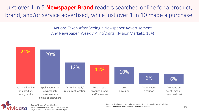Just over 1 in 5 **Newspaper Brand** readers searched online for a product, brand, and/or service advertised, while just over 1 in 10 made a purchase.

> Actions Taken After Seeing a Newspaper Advertisement Any Newspaper, Weekly Print/Digital (Major Markets, 18+)





Source: Vividata Winter 2022 Study Base: Respondents aged 18+, 21 Major Markets - , Any Newspaper – Average Weekly Print/Digital.

Note:"Spoke about the ad/product/brand/service online or elsewhere" = Talked about, Commented on Social Media, and Recommended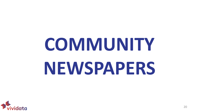# **COMMUNITY NEWSPAPERS**

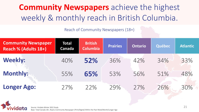## **Community Newspapers** achieve the highest weekly & monthly reach in British Columbia.

Reach of Community Newspapers (18+)

| <b>Community Newspaper</b><br>Reach % (Adults 18+) | <b>Total</b><br><b>Canada</b> | <b>British</b><br><b>Columbia</b> | <b>Prairies</b> | <b>Ontario</b> | Québec | <b>Atlantic</b> |
|----------------------------------------------------|-------------------------------|-----------------------------------|-----------------|----------------|--------|-----------------|
| <b>Weekly:</b>                                     | 40%                           | 52%                               | 36%             | 42%            | 34%    | 33%             |
| <b>Monthly:</b>                                    | 55%                           | 65%                               | 53%             | 56%            | 51%    | 48%             |
| <b>Longer Ago:</b>                                 | 27%                           | 22%                               | 79%             | 27%            | 26%    | 30%             |



Source: Vividata Winter 2022 Study

Base: Total Canada 18+, Read a Community Newspaper (Print/Digital) Within the Past Week/Month/Longer Ago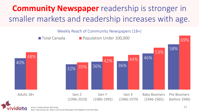# **Community Newspaper** readership is stronger in smaller markets and readership increases with age.

40% 32% 36% 36% 46% 58% 48% 35% 42% 44% 53% 69% Adults 18+ . Gen Z (1996-2019) Gen Y (1980-1995) Gen X (1966-1979) Baby Boomers (1946-1965) Pre-Boomers (before 1946) ■ Total Canada **■** Population Under 100,000 Weekly Reach of Community Newspapers (18+)

Source: Vividata Winter 2022 Study

Base: Total Canada 18+, Read a Community Newspaper (Print/Digital) in the Past Week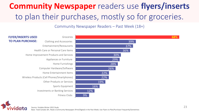# **Community Newspaper** readers use **flyers/inserts**  to plan their purchases, mostly so for groceries.

#### Community Newspaper Readers – Past Week (18+)



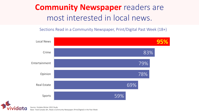## **Community Newspaper** readers are most interested in local news.

Sections Read in a Community Newspaper, Print/Digital Past Week (18+)



Source: Vividata Winter 2022 Study Base: Total Canada 18+, Read a Community Newspaper (Print/Digital) in the Past Week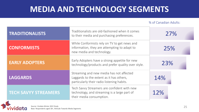## **MEDIA AND TECHNOLOGY SEGMENTS**

% of Canadian Adults:

| <b>TRADITIONALISTS</b>      | Traditionalists are old-fashioned when it comes<br>to their media and purchasing preferences.                                      | 27% |  |
|-----------------------------|------------------------------------------------------------------------------------------------------------------------------------|-----|--|
| <b>CONFORMISTS</b>          | While Conformists rely on TV to get news and<br>information, they are attempting to adapt to<br>new media and technology.          | 25% |  |
| <b>EARLY ADOPTERS</b>       | Early Adopters have a strong appetite for new<br>technology/products and prefer quality over style.                                | 23% |  |
| <b>LAGGARDS</b>             | Streaming and new media has not affected<br>Laggards to the extent as it has others,<br>particularly their radio listening habits. | 14% |  |
| <b>TECH SAVYY STREAMERS</b> | Tech Savvy Streamers are confident with new<br>technology, and streaming is a large part of<br>their media consumption.            | 12% |  |

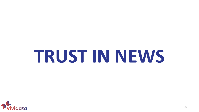# **TRUST IN NEWS**

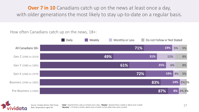**Over 7 in 10** Canadians catch up on the news at least once a day, with older generations the most likely to stay up-to-date on a regular basis.

How often Canadians catch up on the news, 18+:

|                        | Daily | Weekly | Monthly or Less |     | Do not Follow or Not Stated |           |       |
|------------------------|-------|--------|-----------------|-----|-----------------------------|-----------|-------|
| All Canadians 18+      |       |        |                 | 71% |                             | 19%<br>5% | 5%    |
| Gen Z (1996 to 2019)   |       |        | 49%             |     | 31%                         | 12%       | 8%    |
| Gen Y (1980 to 1995)   |       |        | 61%             |     | 25%                         | 6%        | 8%    |
| Gen X (1966 to 1979)   |       |        |                 | 72% |                             | 19%<br>4% | 5%    |
| Boomers (1946 to 1965) |       |        |                 |     | 83%                         | 14%       | 2%1%  |
| Pre-Boomers (<1946)    |       |        |                 |     | 87%                         | 8%        | 2% 3% |



"Daily": Several times a day or at least once a day. "Weekly": Several times a week or about once a week. "Monthly": 2-3 times a month, about once a month, or less often than once a month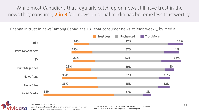While most Canadians that regularly catch up on news still have trust in the news they consume, **2 in 3** feel news on social media has become less trustworthy.

Change in trust in news\* among Canadians 18+ that consumer news at least weekly, by media:





Source: Vividata Winter 2022 Study Base: Respondents aged 18+, that catch up on news several times a day, at least once a day, several times a week or about once a week.

\*"Knowing that there is more 'fake news' and 'misinformation' in media, how has your trust in the following news sources changed?"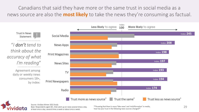Canadians that said they have more or the same trust in social media as a news source are also the **most likely** to take the news they're consuming as factual.



Source: Vividata Winter 2022 Study

Base: Respondents aged 18+, that catch up on news several times a day, at least once a day, several times a week or about once a week.

\*"Knowing that there is more 'fake news' and 'misinformation' in media, how has your trust in the following news sources changed?"